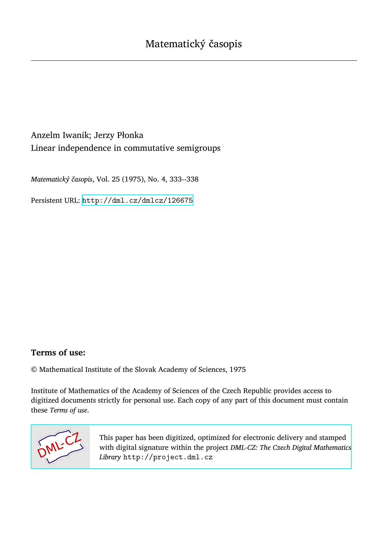Anzelm Iwanik; Jerzy Płonka Linear independence in commutative semigroups

*Matematický časopis*, Vol. 25 (1975), No. 4, 333--338

Persistent URL: <http://dml.cz/dmlcz/126675>

## **Terms of use:**

© Mathematical Institute of the Slovak Academy of Sciences, 1975

Institute of Mathematics of the Academy of Sciences of the Czech Republic provides access to digitized documents strictly for personal use. Each copy of any part of this document must contain these *Terms of use*.



[This paper has been digitized, optimized for electronic delivery and stamped](http://project.dml.cz) with digital signature within the project *DML-CZ: The Czech Digital Mathematics Library* http://project.dml.cz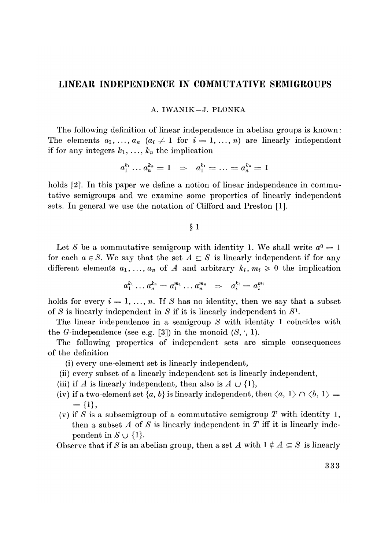## **LINEAR INDEPENDENCE IN COMMUTATIVE SEMIGROUPS**

## A*.* IWANIK-*J.* PLONKA

The following definition of linear independence in abelian groups is known: The elements  $a_1, \ldots, a_n$   $(a_i \neq 1$  for  $i = 1, \ldots, n)$  are linearly independent if for any integers  $k_1, \ldots, k_n$  the implication

$$
a_1^{k_1} \dots a_n^{k_n} = 1 \;\; \Rightarrow \;\; a_1^{k_1} = \dots = a_n^{k_n} = 1
$$

holds  $[2]$ . In this paper we define a notion of linear independence in commutative semigroups and we examine some properties of linearly independent sets. In general we use the notation of Clifford and Preston [1].

 $§ 1$ 

Let *S* be a commutative semigroup with identity 1. We shall write  $a^0 = 1$ for each  $a \in S$ . We say that the set  $A \subseteq S$  is linearly independent if for any different elements  $a_1, \ldots, a_n$  of A and arbitrary  $k_i, m_i \geq 0$  the implication

$$
a_1^{k_1} \dots a_n^{k_n} = a_1^{m_1} \dots a_n^{m_n} \Rightarrow a_i^{k_i} = a_i^{m_i}
$$

holds for every  $i = 1, \ldots, n$ . If S has no identity, then we say that a subset of *S* is linearly independent in *S* if it is linearly independent in *S<sup>1</sup> .* 

The linear independence in a semigroup *S* with identity 1 coincides with the *O*-independence (see e.g. [3]) in the monoid *(S, ',* 1).

The following properties of independent sets are simple consequences of the definition

(i) every one-element set is linearly independent,

- (ii) every subset of a linearly independent set is linearly independent,
- (iii) if *A* is linearly independent, then also is  $A \cup \{1\}$ ,
- (iv) if a two-element set  $\{a, b\}$  is linearly independent, then  $\langle a, 1 \rangle \cap \langle b, 1 \rangle =$  $= \{1\},\$
- (v) if *S* is a subsemigroup of a commutative semigroup *T* with identity 1, then a subset  $A$  of  $S$  is linearly independent in  $T$  iff it is linearly independent in  $S \cup \{1\}$ .

Observe that if *S* is an abelian group, then a set *A* with  $1 \notin A \subseteq S$  is linearly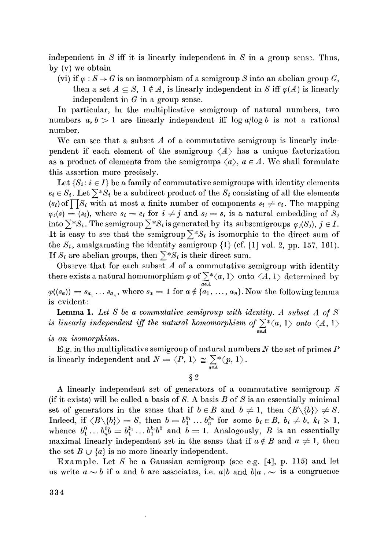independent in  $S$  iff it is linearly independent in  $S$  in a group sensor. Thus, by (v) we obtain

(vi) if  $\varphi$  :  $S \to G$  is an isomorphism of a semigroup S into an abelian group G, then a set  $A \subseteq S$ ,  $1 \notin A$ , is linearly independent in *S* iff  $\varphi(A)$  is linearly independent in  $G$  in a group sense.

In particular, in the multiplicative semigroup of natural numbers, two numbers  $a, b > 1$  are linearly independent iff  $\log a / \log b$  is not a rational number*.* 

We can see that a subset *A* of a commutative semigroup is linearly independent if each element of the semigroup  $\langle A \rangle$  has a unique factorization as a product of elements from the semigroups  $\langle a \rangle$ ,  $a \in A$ . We shall formulate this assertion more precisely.

Let  $\{S_i: i \in I\}$  be a family of commutative semigroups with identity elements  $e_i \in S_i$ . Let  $\sum^* S_i$  be a subdirect product of the  $S_i$  consisting of all the elements  $(s_i)$  of  $\prod S_i$  with at most a finite number of components  $s_i \neq e_i$ . The mapping  $\varphi_i(s) = (s_i)$ , where  $s_i = e_i$  for  $i \neq j$  and  $s_i = s$ , is a natural embedding of  $S_i$ into  $\sum^* S_i$ . The semigroup  $\sum^* S_i$  is generated by its subsemigroups  $\varphi_i(S_i)$ ,  $j \in I$ . It is easy to see that the semigroup  $\sum^* S_i$  is isomorphic to the direct sum of the  $S_i$ , amalgamating the identity semigroup  $\{1\}$  (cf. [1] vol. 2, pp. 157, 161). If  $S_i$  are abelian groups, then  $\sum^* S_i$  is their direct sum.

Observe that for each subset  $A$  of a commutative semigroup with identity there exists a natural homomorphism  $\varphi$  of  $\sum^* \langle a, 1 \rangle$  onto  $\langle A, 1 \rangle$  determined by *aeA*   $\varphi((s_a)) = s_{a_1} \ldots s_{a_n}$ , where  $s_a = 1$  for  $a \notin \{a_1, \ldots, a_n\}$ . Now the following lemma is evident:

Lemma 1. *Let S be a commutative semigroup with identity. A subset A of S*  is linearly independent iff the natural homomorphism of  $\sum^* \langle a, 1 \rangle$  onto  $\langle A, 1 \rangle$ *aeA* 

*is an isomorphism.* 

E.g. in the multiplicative semigroup of natural numbers *N* the set of primes *P*  is linearly independent and  $N = \langle P, 1 \rangle \cong \sum_{i=1}^{n} \langle p, 1 \rangle$ .

**§2** 

*aeA* 

A linearly independent sst of generators of a commutative semigroup *S*  (if it exists) will be called a basis of *S.* A basis 5 of *S* is an essentially minimal set of generators in the sense that if  $b \in B$  and  $b \neq 1$ , then  $\langle B \setminus \{b\} \rangle \neq S$ .  $\text{Indeed, if } \langle B \setminus \{b\} \rangle = S, \text{ then } b = b_1^{k_1} \dots b_n^{k_n} \text{ for some } b_i \in B, b_i \neq b, k_i \geq 1,$ whence  $b_1^0 \dots b_n^0 b = b_1^{k_1} \dots b_1^{k_n} b_0^{0}$  and  $b=1$ . Analogously, *B* is an essentially maximal linearly independent set in the sense that if  $a \notin B$  and  $a \neq 1$ , then the set  $B \cup \{a\}$  is no more linearly independent.

Example. Let S be a Gaussian semigroup (see e.g. [4], p. 115) and let us write  $a \sim b$  if a and b are associates, i.e. a|b and b|a .  $\sim$  is a congruence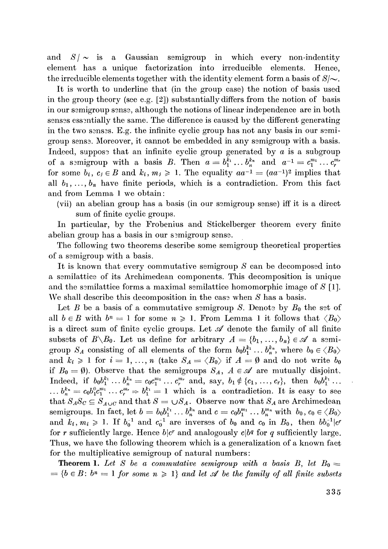and  $S/\sim$  is a Gaussian semigroup in which every non-indentity element has a unique factorization into irreducible elements*.* Hence, the irreducible elements together with the identity element form a basis of  $S/\sim$ .

It is worth to underline that (in the group case) the notion of basis used in the group theory (see e*.*g*.* [2]) substantially differs from the notion of basis in our semigroup sense, although the notions of linear independence are in both senses essentially the same. The difference is caused by the different generating in the two sensss*.* E*.*g*.* the infinite cyclic group has not any basis in our semigroup senss*.* Moreover, it cannot be embedded in any semigroup with a basis*.*  Indeed, suppose that an infinite cyclic group generated by  $a$  is a subgroup of a semigroup with a basis B. Then  $a = b_1^{k_1} \dots b_n^{k_n}$  and  $a^{-1} = c_1^{m_1} \dots c_r^{m_r}$ for some  $b_i$ ,  $c_j \in B$  and  $k_i$ ,  $m_j \ge 1$ . The equality  $aa^{-1} = (aa^{-1})^2$  implies that all  $b_1, \ldots, b_n$  have finite periods, which is a contradiction. From this fact and from Lemma 1 we obtain:

(vii) an abelian group has a basis (in our semigroup sense) iff it is a direct sum of finite cyclic groups*.* 

In particular, by the Frobenius and Stickelberger theorem every finite abelian group has a basis in our semigroup sense.

The following two theorems describe some semigroup theoretical properties of a semigroup with a basis*.* 

It is known that every commutative semigroup *S* can be decomposed into a semilattice of its Archimedean components*.* This decomposition is unique and the semilattice forms a maximal semilattice homomorphic image of *S* [1]*.*  We shall describe this decomposition in the case when *S* has a basis*.* 

Let *B* be a basis of a commutative semigroup *S*. Denote by  $B_0$  the set of all  $b \in B$  with  $b^n = 1$  for some  $n \ge 1$ . From Lemma 1 it follows that  $\langle B_0 \rangle$ is a direct sum of finite cyclic groups. Let *si* denote the family of all finite subsets of  $B \setminus B_0$ . Let us define for arbitrary  $A = \{b_1, \ldots, b_n\} \in \mathcal{A}$  a semigroup  $S_A$  consisting of all elements of the form  $b_0b_1^{k_1} \ldots b_n^{k_n}$ , where  $b_0 \in \langle B_0 \rangle$ and  $k_i \geq 1$  for  $i = 1, ..., n$  (take  $S_A = \langle B_0 \rangle$  if  $A = \emptyset$  and do not write  $b_0$ if  $B_0 = \emptyset$ ). Observe that the semigroups  $S_A$ ,  $A \in \mathcal{A}$  are mutually disjoint.  $\text{Indeed, if } b_0 b_1^{k_1} \dots b_n^{k_n} = c_0 c_1^{m_1} \dots c_r^{m_r} \text{ and, say, } b_1 \notin \{c_1, \dots, c_r\}, \text{ then } b_0 b_1^{k_1} \dots$  $\ldots$   $b_n^{k_n} = c_0 b_1^0 c_1^{m_1} \ldots c_r^{m_r} \Rightarrow b_1^{k_1} = 1$  which is a contradiction. It is easy to see that  $S_A S_C \subseteq S_{A \cup C}$  and that  $S = \cup S_A$ . Observe now that  $S_A$  are Archimedean semigroups. In fact, let  $b = b_0 b_1^{k_1} \dots b_n^{k_n}$  and  $c = c_0 b_1^{m_1} \dots b_n^{m_n}$  with  $b_0, c_0 \in \langle B_0 \rangle$ and  $k_i$ ,  $m_i \geq 1$ . If  $b_0^{-1}$  and  $c_0^{-1}$  are inverses of  $b_0$  and  $c_0$  in  $B_0$ , then  $bb_0^{-1}|c^r$ for r sufficiently large. Hence  $b|c^r$  and analogously  $c|b^q$  for q sufficiently large. Thus, we have the following theorem which is a generalization of a known fact for the multiplicative semigroup of natural numbers:

**Theorem 1.** Let S be a commutative semigroup with a basis B, let  $B_0 =$  $= \{b \in B: b^n = 1 \text{ for some } n \geq 1 \}$  and let  $\mathcal A$  be the family of all finite subsets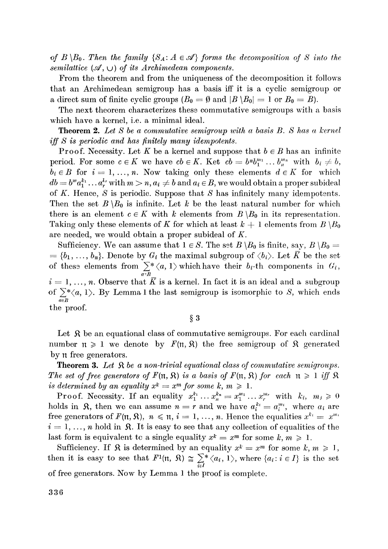*of B*  $\setminus$  *B*<sub>0</sub>. Then the family  $\{S_A : A \in \mathcal{A}\}$  forms the decomposition of S into the *semilattice*  $(\mathcal{A}, \cup)$  of its Archimedean components.

From the theorem and from the uniqueness of the decomposition it follows that an Archimedean semigroup has a basis iff it is a cyclic semigroup or a direct sum of finite cyclic groups  $(B_0 = \emptyset \text{ and } |B \setminus B_0| = 1 \text{ or } B_0 = B)$ .

The next theorem characterizes these commutative semigroups with a basis which have a kernel, i.e. a minimal ideal.

T**heorem 2.** *Let S be a commutative semigroup with a basis B. S has a kernel iff S is periodic and has finitely many idempotents.* 

Proof. Necessity. Let K be a kernel and suppose that  $b \in B$  has an infinite period. For some  $c \in K$  we have  $cb \in K$ . Ket  $cb = b^n b_1^{m_1} \dots b_n^{m_n}$  with  $b_i \neq b$ ,  $b_i \in B$  for  $i = 1, ..., n$ . Now taking only these elements  $d \in K$  for which  $db = b^m a_1^{k_1} \dots a_r^{k_r}$  with  $m > n, a_i \neq b$  and  $a_i \in B$ , we would obtain a proper subideal of *K.* Hence, *S* is periodic. Suppose that *S* has infinitely many idempotents. Then the set  $B \setminus B_0$  is infinite. Let k be the least natural number for which there is an element  $c \in K$  with k elements from  $B \setminus B_0$  in its representation. Taking only these elements of K for which at least  $k + 1$  elements from  $B \setminus B_0$ are needed, we would obtain a proper subideal of *K.* 

Sufficiency. We can assume that  $1 \in S$ . The set  $B \setminus B_0$  is finite, say,  $B \setminus B_0 =$  $= \{b_1, \ldots, b_n\}.$  Denote by  $G_i$  the maximal subgroup of  $\langle b_i \rangle$ . Let  $\overline{K}$  be the set of these elements from  $\sum_{a \in B}^* \langle a, 1 \rangle$  which have their  $b_i$ -th components in  $G_i$ ,  $i = 1, \ldots, n$ . Observe that  $\overline{K}$  is a kernel. In fact it is an ideal and a subgroup of  $\sum_{n=1}^{n} \langle a, 1 \rangle$ . By Lemma 1 the last semigroup is isomorphic to *S*, which ends  $\text{the } \text{proof}.$ 

§ 3

Let  $\mathcal{R}$  be an equational class of commutative semigroups. For each cardinal number  $\pi \geq 1$  we denote by  $F(\pi, \mathfrak{H})$  the free semigroup of  $\mathfrak{K}$  generated by n free generators.

**Theorem 3.** Let  $\mathcal{R}$  be a non-trivial equational class of commutative semigroups. *The set of free generators of*  $F(\mathfrak{n}, \mathfrak{R})$  is a basis of  $F(\mathfrak{n}, \mathfrak{R})$  for each  $\mathfrak{n} \geq 1$  iff  $\mathfrak{R}$ *is determined by an equality*  $x^k = x^m$  *for some k, m*  $\geq 1$ .

Proof. Necessity. If an equality  $x_1^{k_1} \ldots x_n^{k_n} = x_1^{m_1} \ldots x_r^{m_r}$  with  $k_i$ ,  $m_i \geq 0$ holds in  $\Re$ , then we can assume  $n = r$  and we have  $a_i^{k_i} = a_i^{m_i}$ , where  $a_i$  are free generators of  $F(\mathfrak{n}, \mathfrak{K})$ ,  $n \leq \mathfrak{n}$ ,  $i = 1, ..., n$ . Hence the equalities  $x^{k_i} = x^{m_i}$  $i = 1, \ldots, n$  hold in *Si*. It is easy to see that any collection of equalities of the last form is equivalent tc a single equality  $x^k = x^m$  for some  $k, m \ge 1$ .

Sufficiency. If  $\Re$  is determined by an equality  $x^k = x^m$  for some  $k, m \ge 1$ , then it is easy to see that  $F^1(\mathfrak{n}, \mathfrak{R}) \cong \sum_{i \in I}^* \langle a_i, 1 \rangle$ , where  $\{a_i : i \in I\}$  is the set of free generators. Now by Lemma 1 the proof is complete.

of free generators*.* Now by Lemma 1 the proof is comp*l*ete*.*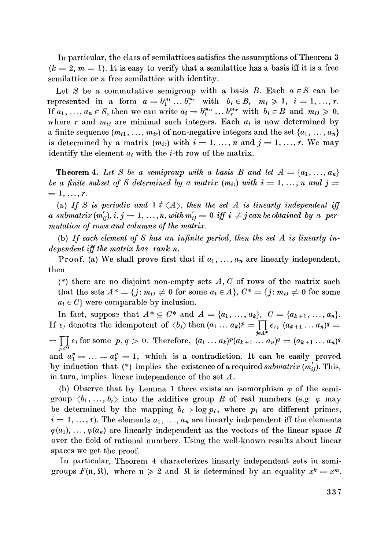In particular, the class of semilattices satisfies the assumptions of Theorem 3  $(k = 2, m = 1)$ . It is easy to verify that a semilattice has a basis iff it is a free semilattice or a free semilattice with identity.

Let *S* be a commutative semigroup with a basis *B*. Each  $a \in S$  can be represented in a form  $a = b_1^{m_1} \dots b_r^{m_r}$  with  $b_i \in B$ ,  $m_i \ge 1$ ,  $i = 1, \dots, r$ . *If*  $a_1, \ldots, a_n \in S$ , then we can write  $a_i = b_1^{m_i} \ldots b_r^{m_i}$  with  $b_i \in B$  and  $m_{ij} \geq 0$ , where r and  $m_{ij}$  are minimal such integers. Each  $a_i$  is now determined by a finite sequence  $(m_{i1}, \ldots, m_{ir})$  of non-negative integers and the set  $\{a_1, \ldots, a_n\}$ is determined by a matrix  $(m_{ij})$  with  $i = 1, \ldots, n$  and  $j = 1, \ldots, r$ . We may identify the element  $a_i$  with the *i*-th row of the matrix.

**Theorem 4.** Let S be a semigroup with a basis B and let  $A = \{a_1, \ldots, a_n\}$ *be a finite subset of S determined by a matrix*  $(m_{ij})$  *with*  $i = 1, ..., n$  *and j =*  $= 1, ..., r$ .

(a) If S is periodic and  $1 \notin \langle A \rangle$ , then the set A is linearly independent iff *a submatrix*  $(m'_{ij}), i, j = 1, ..., n$ , with  $m'_{ij} = 0$  iff  $i \neq j$  can be obtained by a per*mutation of rows and columns of the matrix.* 

(b) If each element of S has an infinite period, then the set A is linearly in*dependent iff the matrix has rank n.* 

Proof. (a) We shall prove first that if  $a_1, \ldots, a_n$  are linearly independent, then

(\*) there are no disjoint non-empty sets *A, C* of rows of the matrix such that the sets  $A^* = \{j : m_{ij} \neq 0 \text{ for some } a_i \in A\}$ ,  $C^* = \{j : m_{ij} \neq 0 \text{ for some } j \in A\}$  $a_i \in C$ } were comparable by inclusion.

In fact, suppose that  $A^* \subseteq C^*$  and  $A = \{a_1, ..., a_k\}$ ,  $C = \{a_{k+1}, ..., a_n\}$ . If  $e_j$  denotes the idempotent of  $\langle b_j \rangle$  then  $(a_1 \ldots a_k)^p = \prod_{j \in A^*} e_j$ ,  $(a_{k+1} \ldots a_n)^q =$  $=\prod_{j \in C^*} e_j$  for some  $p, q > 0$ . Therefore,  $(a_1 \ldots a_k)^p (a_{k+1} \ldots a_n)^q = (a_{k+1} \ldots a_n)^q$ and  $a_1^p = \ldots = a_k^p = 1$ , which is a contradiction. It can be easily proved by induction that (\*) implies the existence of a required *submatrix (m^).* This, in turn, implies linear independence of the set *A.* 

(b) Observe that by Lemma 1 there exists an isomorphism  $\varphi$  of the semigroup  $\langle b_1, \ldots, b_r \rangle$  into the additive group R of real numbers (e.g.  $\varphi$  may be determined by the mapping  $b_i \rightarrow \log p_i$ , where  $p_i$  are different primes,  $i = 1, ..., r$ ). The elements  $a_1, ..., a_n$  are linearly independent iff the elements  $\varphi(a_1), \ldots, \varphi(a_n)$  are linearly independent as the vectors of the linear space R over the field of rational numbers. Using the well-known results about linear spaces we get the proof.

In particular, Theorem 4 characterizes linearly independent sets in semigroups  $F(\mathfrak{n}, \mathfrak{K})$ , where  $\mathfrak{n} \geq 2$  and  $\mathfrak{K}$  is determined by an equality  $x^k = x^m$ .